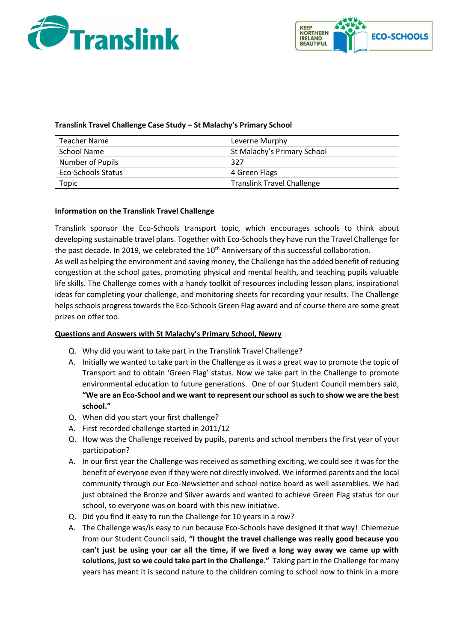



## **Translink Travel Challenge Case Study – St Malachy's Primary School**

| Teacher Name       | Leverne Murphy                    |
|--------------------|-----------------------------------|
| School Name        | St Malachy's Primary School       |
| Number of Pupils   | 327                               |
| Eco-Schools Status | 4 Green Flags                     |
| Topic              | <b>Translink Travel Challenge</b> |

### **Information on the Translink Travel Challenge**

Translink sponsor the Eco-Schools transport topic, which encourages schools to think about developing sustainable travel plans. Together with Eco-Schools they have run the Travel Challenge for the past decade. In 2019, we celebrated the 10<sup>th</sup> Anniversary of this successful collaboration.

As well as helping the environment and saving money, the Challenge has the added benefit of reducing congestion at the school gates, promoting physical and mental health, and teaching pupils valuable life skills. The Challenge comes with a handy toolkit of resources including lesson plans, inspirational ideas for completing your challenge, and monitoring sheets for recording your results. The Challenge helps schools progress towards the Eco-Schools Green Flag award and of course there are some great prizes on offer too.

## **Questions and Answers with St Malachy's Primary School, Newry**

- Q. Why did you want to take part in the Translink Travel Challenge?
- A. Initially we wanted to take part in the Challenge as it was a great way to promote the topic of Transport and to obtain 'Green Flag' status. Now we take part in the Challenge to promote environmental education to future generations. One of our Student Council members said, **"We are an Eco-School and we want to represent our school as such to show we are the best school."**
- Q. When did you start your first challenge?
- A. First recorded challenge started in 2011/12
- Q. How was the Challenge received by pupils, parents and school members the first year of your participation?
- A. In our first year the Challenge was received as something exciting, we could see it was for the benefit of everyone even if they were not directly involved. We informed parents and the local community through our Eco-Newsletter and school notice board as well assemblies. We had just obtained the Bronze and Silver awards and wanted to achieve Green Flag status for our school, so everyone was on board with this new initiative.
- Q. Did you find it easy to run the Challenge for 10 years in a row?
- A. The Challenge was/is easy to run because Eco-Schools have designed it that way! Chiemezue from our Student Council said, **"I thought the travel challenge was really good because you can't just be using your car all the time, if we lived a long way away we came up with solutions, just so we could take part in the Challenge."** Taking part in the Challenge for many years has meant it is second nature to the children coming to school now to think in a more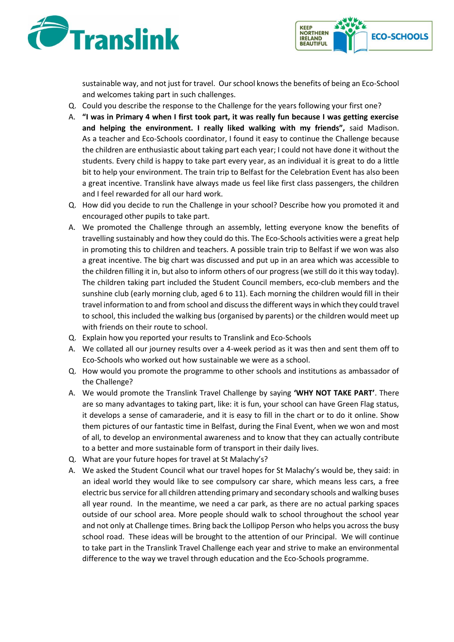



sustainable way, and not just for travel. Our school knows the benefits of being an Eco-School and welcomes taking part in such challenges.

- Q. Could you describe the response to the Challenge for the years following your first one?
- A. **"I was in Primary 4 when I first took part, it was really fun because I was getting exercise and helping the environment. I really liked walking with my friends",** said Madison. As a teacher and Eco-Schools coordinator, I found it easy to continue the Challenge because the children are enthusiastic about taking part each year; I could not have done it without the students. Every child is happy to take part every year, as an individual it is great to do a little bit to help your environment. The train trip to Belfast for the Celebration Event has also been a great incentive. Translink have always made us feel like first class passengers, the children and I feel rewarded for all our hard work.
- Q. How did you decide to run the Challenge in your school? Describe how you promoted it and encouraged other pupils to take part.
- A. We promoted the Challenge through an assembly, letting everyone know the benefits of travelling sustainably and how they could do this. The Eco-Schools activities were a great help in promoting this to children and teachers. A possible train trip to Belfast if we won was also a great incentive. The big chart was discussed and put up in an area which was accessible to the children filling it in, but also to inform others of our progress (we still do it this way today). The children taking part included the Student Council members, eco-club members and the sunshine club (early morning club, aged 6 to 11). Each morning the children would fill in their travel information to and from school and discuss the different ways in which they could travel to school, this included the walking bus (organised by parents) or the children would meet up with friends on their route to school.
- Q. Explain how you reported your results to Translink and Eco-Schools
- A. We collated all our journey results over a 4-week period as it was then and sent them off to Eco-Schools who worked out how sustainable we were as a school.
- Q. How would you promote the programme to other schools and institutions as ambassador of the Challenge?
- A. We would promote the Translink Travel Challenge by saying **'WHY NOT TAKE PART'**. There are so many advantages to taking part, like: it is fun, your school can have Green Flag status, it develops a sense of camaraderie, and it is easy to fill in the chart or to do it online. Show them pictures of our fantastic time in Belfast, during the Final Event, when we won and most of all, to develop an environmental awareness and to know that they can actually contribute to a better and more sustainable form of transport in their daily lives.
- Q. What are your future hopes for travel at St Malachy's?
- A. We asked the Student Council what our travel hopes for St Malachy's would be, they said: in an ideal world they would like to see compulsory car share, which means less cars, a free electric bus service for all children attending primary and secondary schools and walking buses all year round. In the meantime, we need a car park, as there are no actual parking spaces outside of our school area. More people should walk to school throughout the school year and not only at Challenge times. Bring back the Lollipop Person who helps you across the busy school road. These ideas will be brought to the attention of our Principal. We will continue to take part in the Translink Travel Challenge each year and strive to make an environmental difference to the way we travel through education and the Eco-Schools programme.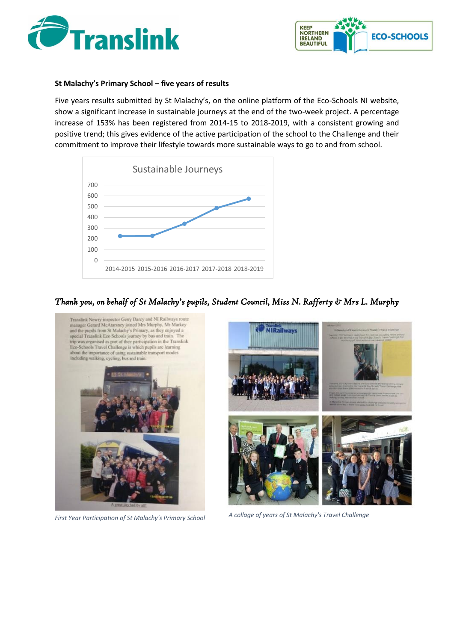



#### **St Malachy's Primary School – five years of results**

Five years results submitted by St Malachy's, on the online platform of the Eco-Schools NI website, show a significant increase in sustainable journeys at the end of the two-week project. A percentage increase of 153% has been registered from 2014-15 to 2018-2019, with a consistent growing and positive trend; this gives evidence of the active participation of the school to the Challenge and their commitment to improve their lifestyle towards more sustainable ways to go to and from school.



# *Thank you, on behalf of St Malachy's pupils, Student Council, Miss N. Rafferty & Mrs L. Murphy*



*First Year Participation of St Malachy's Primary School* 

*A collage of years of St Malachy's Travel Challenge*